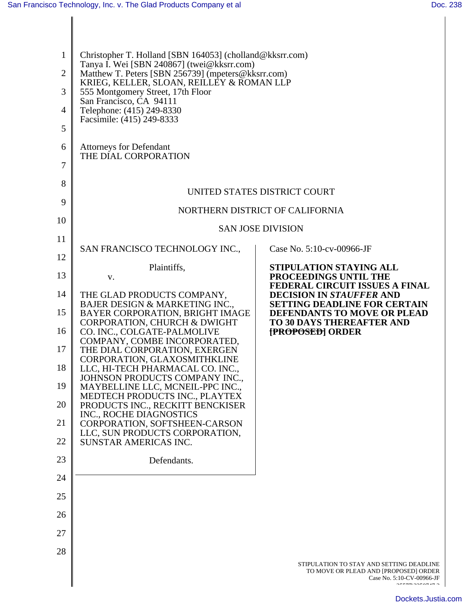| 1<br>$\overline{2}$<br>3<br>$\overline{4}$ | Christopher T. Holland [SBN 164053] (cholland@kksrr.com)<br>Tanya I. Wei [SBN 240867] (twei@kksrr.com)<br>Matthew T. Peters [SBN 256739] (mpeters@kksrr.com)<br>KRIEG, KELLER, SLOAN, REILLEY & ROMAN LLP<br>555 Montgomery Street, 17th Floor<br>San Francisco, CA 94111<br>Telephone: (415) 249-8330 |                                                                                                                                       |  |
|--------------------------------------------|--------------------------------------------------------------------------------------------------------------------------------------------------------------------------------------------------------------------------------------------------------------------------------------------------------|---------------------------------------------------------------------------------------------------------------------------------------|--|
| 5                                          | Facsimile: (415) 249-8333                                                                                                                                                                                                                                                                              |                                                                                                                                       |  |
| 6<br>7                                     | <b>Attorneys for Defendant</b><br>THE DIAL CORPORATION                                                                                                                                                                                                                                                 |                                                                                                                                       |  |
| 8                                          |                                                                                                                                                                                                                                                                                                        |                                                                                                                                       |  |
| 9                                          | UNITED STATES DISTRICT COURT                                                                                                                                                                                                                                                                           |                                                                                                                                       |  |
| 10                                         | NORTHERN DISTRICT OF CALIFORNIA                                                                                                                                                                                                                                                                        |                                                                                                                                       |  |
| 11                                         |                                                                                                                                                                                                                                                                                                        | <b>SAN JOSE DIVISION</b>                                                                                                              |  |
|                                            | SAN FRANCISCO TECHNOLOGY INC.,                                                                                                                                                                                                                                                                         | Case No. 5:10-cv-00966-JF                                                                                                             |  |
| 12                                         | Plaintiffs,                                                                                                                                                                                                                                                                                            | STIPULATION STAYING ALL                                                                                                               |  |
| 13                                         | V.                                                                                                                                                                                                                                                                                                     | PROCEEDINGS UNTIL THE<br>FEDERAL CIRCUIT ISSUES A FINAL                                                                               |  |
| 14<br>15                                   | THE GLAD PRODUCTS COMPANY,<br>BAJER DESIGN & MARKETING INC.,<br>BAYER CORPORATION, BRIGHT IMAGE                                                                                                                                                                                                        | <b>DECISION IN STAUFFER AND</b><br><b>SETTING DEADLINE FOR CERTAIN</b><br>DEFENDANTS TO MOVE OR PLEAD                                 |  |
| 16                                         | CORPORATION, CHURCH & DWIGHT<br>CO. INC., COLGATE-PALMOLIVE                                                                                                                                                                                                                                            | <b>TO 30 DAYS THEREAFTER AND</b><br><b>[PROPOSED] ORDER</b>                                                                           |  |
| 17                                         | COMPANY, COMBE INCORPORATED,<br>THE DIAL CORPORATION, EXERGEN                                                                                                                                                                                                                                          |                                                                                                                                       |  |
| 18                                         | CORPORATION, GLAXOSMITHKLINE<br>LLC, HI-TECH PHARMACAL CO. INC.,                                                                                                                                                                                                                                       |                                                                                                                                       |  |
| 19                                         | JOHNSON PRODUCTS COMPANY INC.,<br>MAYBELLINE LLC, MCNEIL-PPC INC.,                                                                                                                                                                                                                                     |                                                                                                                                       |  |
| 20                                         | MEDTECH PRODUCTS INC., PLAYTEX<br>PRODUCTS INC., RECKITT BENCKISER                                                                                                                                                                                                                                     |                                                                                                                                       |  |
| 21                                         | INC., ROCHE DIAGNOSTICS<br>CORPORATION, SOFTSHEEN-CARSON                                                                                                                                                                                                                                               |                                                                                                                                       |  |
| 22                                         | LLC, SUN PRODUCTS CORPORATION,<br>SUNSTAR AMERICAS INC.                                                                                                                                                                                                                                                |                                                                                                                                       |  |
| 23                                         | Defendants.                                                                                                                                                                                                                                                                                            |                                                                                                                                       |  |
| 24                                         |                                                                                                                                                                                                                                                                                                        |                                                                                                                                       |  |
| 25                                         |                                                                                                                                                                                                                                                                                                        |                                                                                                                                       |  |
| 26                                         |                                                                                                                                                                                                                                                                                                        |                                                                                                                                       |  |
| 27                                         |                                                                                                                                                                                                                                                                                                        |                                                                                                                                       |  |
| 28                                         |                                                                                                                                                                                                                                                                                                        |                                                                                                                                       |  |
|                                            |                                                                                                                                                                                                                                                                                                        | STIPULATION TO STAY AND SETTING DEADLINE<br>TO MOVE OR PLEAD AND [PROPOSED] ORDER<br>Case No. 5:10-CV-00966-JF<br>$2 - 7 - 8 - 7 - 1$ |  |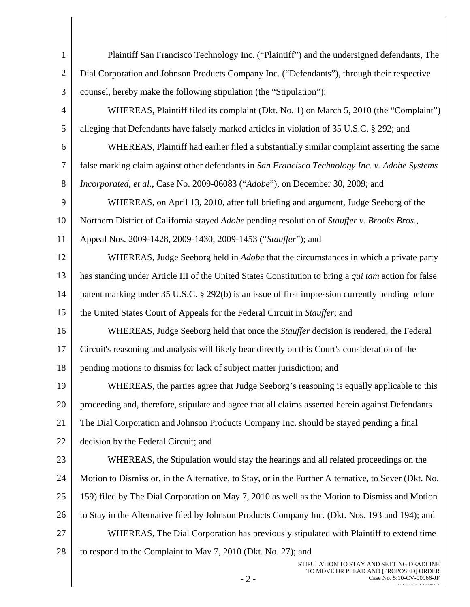| $\mathbf{1}$   | Plaintiff San Francisco Technology Inc. ("Plaintiff") and the undersigned defendants, The                                                                                 |  |  |
|----------------|---------------------------------------------------------------------------------------------------------------------------------------------------------------------------|--|--|
| $\overline{2}$ | Dial Corporation and Johnson Products Company Inc. ("Defendants"), through their respective                                                                               |  |  |
| 3              | counsel, hereby make the following stipulation (the "Stipulation"):                                                                                                       |  |  |
| 4              | WHEREAS, Plaintiff filed its complaint (Dkt. No. 1) on March 5, 2010 (the "Complaint")                                                                                    |  |  |
| 5              | alleging that Defendants have falsely marked articles in violation of 35 U.S.C. § 292; and                                                                                |  |  |
| 6              | WHEREAS, Plaintiff had earlier filed a substantially similar complaint asserting the same                                                                                 |  |  |
| 7              | false marking claim against other defendants in San Francisco Technology Inc. v. Adobe Systems                                                                            |  |  |
| 8              | Incorporated, et al., Case No. 2009-06083 ("Adobe"), on December 30, 2009; and                                                                                            |  |  |
| 9              | WHEREAS, on April 13, 2010, after full briefing and argument, Judge Seeborg of the                                                                                        |  |  |
| 10             | Northern District of California stayed Adobe pending resolution of Stauffer v. Brooks Bros.,                                                                              |  |  |
| 11             | Appeal Nos. 2009-1428, 2009-1430, 2009-1453 ("Stauffer"); and                                                                                                             |  |  |
| 12             | WHEREAS, Judge Seeborg held in <i>Adobe</i> that the circumstances in which a private party                                                                               |  |  |
| 13             | has standing under Article III of the United States Constitution to bring a <i>qui tam</i> action for false                                                               |  |  |
| 14             | patent marking under 35 U.S.C. § 292(b) is an issue of first impression currently pending before                                                                          |  |  |
| 15             | the United States Court of Appeals for the Federal Circuit in Stauffer; and                                                                                               |  |  |
| 16             | WHEREAS, Judge Seeborg held that once the <i>Stauffer</i> decision is rendered, the Federal                                                                               |  |  |
| 17             | Circuit's reasoning and analysis will likely bear directly on this Court's consideration of the                                                                           |  |  |
| 18             | pending motions to dismiss for lack of subject matter jurisdiction; and                                                                                                   |  |  |
| 19             | WHEREAS, the parties agree that Judge Seeborg's reasoning is equally applicable to this                                                                                   |  |  |
| 20             | proceeding and, therefore, stipulate and agree that all claims asserted herein against Defendants                                                                         |  |  |
| 21             | The Dial Corporation and Johnson Products Company Inc. should be stayed pending a final                                                                                   |  |  |
| 22             | decision by the Federal Circuit; and                                                                                                                                      |  |  |
| 23             | WHEREAS, the Stipulation would stay the hearings and all related proceedings on the                                                                                       |  |  |
| 24             | Motion to Dismiss or, in the Alternative, to Stay, or in the Further Alternative, to Sever (Dkt. No.                                                                      |  |  |
| 25             | 159) filed by The Dial Corporation on May 7, 2010 as well as the Motion to Dismiss and Motion                                                                             |  |  |
| 26             | to Stay in the Alternative filed by Johnson Products Company Inc. (Dkt. Nos. 193 and 194); and                                                                            |  |  |
| 27             | WHEREAS, The Dial Corporation has previously stipulated with Plaintiff to extend time                                                                                     |  |  |
| 28             | to respond to the Complaint to May 7, 2010 (Dkt. No. 27); and                                                                                                             |  |  |
|                | STIPULATION TO STAY AND SETTING DEADLINE<br>TO MOVE OR PLEAD AND [PROPOSED] ORDER<br>$-2-$<br>Case No. 5:10-CV-00966-JF<br>$\sim$ - - - - $\sim$ - $\sim$ - $\sim$ $\sim$ |  |  |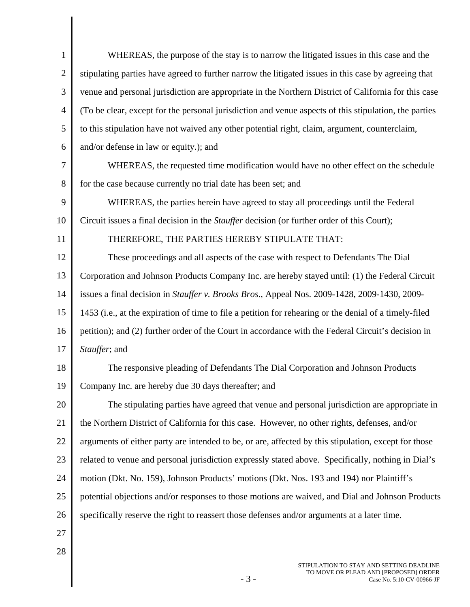| $\mathbf{1}$   | WHEREAS, the purpose of the stay is to narrow the litigated issues in this case and the                |  |
|----------------|--------------------------------------------------------------------------------------------------------|--|
| $\overline{2}$ | stipulating parties have agreed to further narrow the litigated issues in this case by agreeing that   |  |
| 3              | venue and personal jurisdiction are appropriate in the Northern District of California for this case   |  |
| $\overline{4}$ | (To be clear, except for the personal jurisdiction and venue aspects of this stipulation, the parties  |  |
| 5              | to this stipulation have not waived any other potential right, claim, argument, counterclaim,          |  |
| 6              | and/or defense in law or equity.); and                                                                 |  |
| 7              | WHEREAS, the requested time modification would have no other effect on the schedule                    |  |
| 8              | for the case because currently no trial date has been set; and                                         |  |
| 9              | WHEREAS, the parties herein have agreed to stay all proceedings until the Federal                      |  |
| 10             | Circuit issues a final decision in the <i>Stauffer</i> decision (or further order of this Court);      |  |
| 11             | THEREFORE, THE PARTIES HEREBY STIPULATE THAT:                                                          |  |
| 12             | These proceedings and all aspects of the case with respect to Defendants The Dial                      |  |
| 13             | Corporation and Johnson Products Company Inc. are hereby stayed until: (1) the Federal Circuit         |  |
| 14             | issues a final decision in Stauffer v. Brooks Bros., Appeal Nos. 2009-1428, 2009-1430, 2009-           |  |
| 15             | 1453 (i.e., at the expiration of time to file a petition for rehearing or the denial of a timely-filed |  |
| 16             | petition); and (2) further order of the Court in accordance with the Federal Circuit's decision in     |  |
| 17             | Stauffer; and                                                                                          |  |
| 18             | The responsive pleading of Defendants The Dial Corporation and Johnson Products                        |  |
| 19             | Company Inc. are hereby due 30 days thereafter; and                                                    |  |
| 20             | The stipulating parties have agreed that venue and personal jurisdiction are appropriate in            |  |
| 21             | the Northern District of California for this case. However, no other rights, defenses, and/or          |  |
| 22             | arguments of either party are intended to be, or are, affected by this stipulation, except for those   |  |
| 23             | related to venue and personal jurisdiction expressly stated above. Specifically, nothing in Dial's     |  |
| 24             | motion (Dkt. No. 159), Johnson Products' motions (Dkt. Nos. 193 and 194) nor Plaintiff's               |  |
| 25             | potential objections and/or responses to those motions are waived, and Dial and Johnson Products       |  |
| 26             | specifically reserve the right to reassert those defenses and/or arguments at a later time.            |  |
| 27             |                                                                                                        |  |
| 28             |                                                                                                        |  |
|                |                                                                                                        |  |